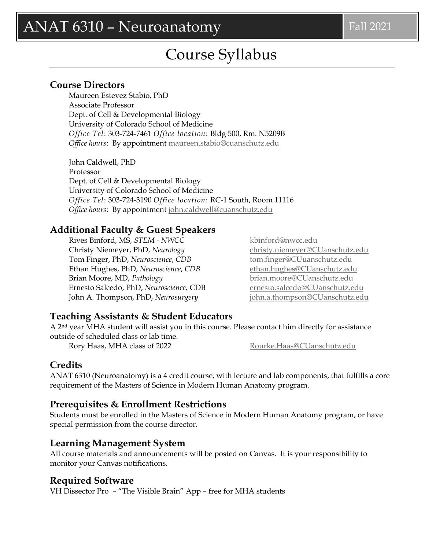# Course Syllabus

### **Course Directors**

Maureen Estevez Stabio, PhD Associate Professor Dept. of Cell & Developmental Biology University of Colorado School of Medicine *Office Tel*: 303-724-7461 *Office location*: Bldg 500, Rm. N5209B *Office hours*: By appointment [maureen.stabio@cuanschutz.edu](mailto:maureen.stabio@cuanschutz.edu)

John Caldwell, PhD Professor Dept. of Cell & Developmental Biology University of Colorado School of Medicine *Office Tel*: 303-724-3190 *Office location*: RC-1 South, Room 11116 *Office hours*: By appointment [john.caldwell@cuanschutz.edu](mailto:john.caldwell@cuanschutz.edu)

### **Additional Faculty & Guest Speakers**

Rives Binford, MS, *STEM* - *NWCC* [kbinford@nwcc.edu](mailto:kbinford@nwcc.edu) Christy Niemeyer, PhD, *Neurology* [christy.niemeyer@CUanschutz.edu](mailto:christy.niemeyer@CUanschutz.edu) Tom Finger, PhD, *Neuroscience*, CDB [tom.finger@CUuanschutz.edu](mailto:tom.finger@CUuanschutz.edu) Ethan Hughes, PhD, *Neuroscience*, *CDB* [ethan.hughes@CUanschutz.edu](mailto:ethan.hughes@CUanschutz.edu) Brian Moore, MD, *Pathology* [brian.moore@CUanschutz.edu](mailto:brian.moore@CUanschutz.edu) Ernesto Salcedo, PhD, *Neuroscience,* CDB [ernesto.salcedo@CUanschutz.edu](mailto:ernesto.salcedo@CUanschutz.edu) John A. Thompson, PhD, *Neurosurgery* [john.a.thompson@CUanschutz.edu](mailto:john.a.thompson@CUanschutz.edu)

# **Teaching Assistants & Student Educators**

A 2nd year MHA student will assist you in this course. Please contact him directly for assistance outside of scheduled class or lab time.

Rory Haas, MHA class of 2022 [Rourke.Haas@CUanschutz.edu](mailto:Kimberly.Thies@CUanschutz.edu)

## **Credits**

ANAT 6310 (Neuroanatomy) is a 4 credit course, with lecture and lab components, that fulfills a core requirement of the Masters of Science in Modern Human Anatomy program.

# **Prerequisites & Enrollment Restrictions**

Students must be enrolled in the Masters of Science in Modern Human Anatomy program, or have special permission from the course director.

## **Learning Management System**

All course materials and announcements will be posted on Canvas. It is your responsibility to monitor your Canvas notifications.

## **Required Software**

VH Dissector Pro – "The Visible Brain" App – free for MHA students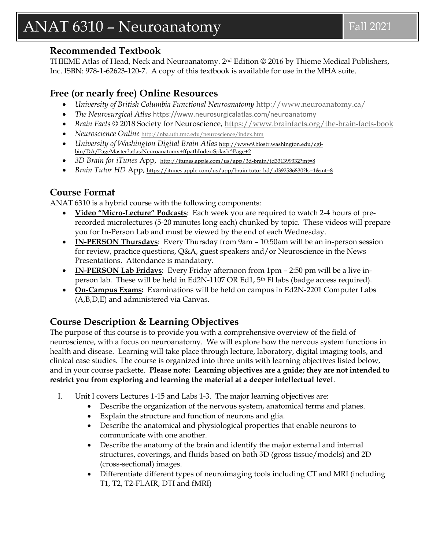# $ANAT 6310 - Neuroanatory$  Fall 2021

### **Recommended Textbook**

THIEME Atlas of Head, Neck and Neuroanatomy. 2nd Edition © 2016 by Thieme Medical Publishers, Inc. ISBN: 978-1-62623-120-7. A copy of this textbook is available for use in the MHA suite.

## **Free (or nearly free) Online Resources**

- *University of British Columbia Functional Neuroanatomy* <http://www.neuroanatomy.ca/>
- *The Neurosurgical Atlas* <https://www.neurosurgicalatlas.com/neuroanatomy>
- *Brain Facts* © 2018 Society for Neuroscience,<https://www.brainfacts.org/the-brain-facts-book>
- *Neuroscience Online* <http://nba.uth.tmc.edu/neuroscience/index.htm>
- *University of Washington Digital Brain Atlas* [http://www9.biostr.washington.edu/cgi](http://www9.biostr.washington.edu/cgi-bin/DA/PageMaster?atlas:Neuroanatomy+ffpathIndex:Splash%5ePage+2)[bin/DA/PageMaster?atlas:Neuroanatomy+ffpathIndex:Splash^Page+2](http://www9.biostr.washington.edu/cgi-bin/DA/PageMaster?atlas:Neuroanatomy+ffpathIndex:Splash%5ePage+2)
- *3D Brain for iTunes App,* <http://itunes.apple.com/us/app/3d-brain/id331399332?mt=8>
- *Brain Tutor HD* App, <https://itunes.apple.com/us/app/brain-tutor-hd/id392586830?ls=1&mt=8>

## **Course Format**

ANAT 6310 is a hybrid course with the following components:

- **Video "Micro-Lecture" Podcasts**: Each week you are required to watch 2-4 hours of prerecorded microlectures (5-20 minutes long each) chunked by topic. These videos will prepare you for In-Person Lab and must be viewed by the end of each Wednesday.
- **IN-PERSON Thursdays**: Every Thursday from 9am 10:50am will be an in-person session for review, practice questions, Q&A, guest speakers and/or Neuroscience in the News Presentations. Attendance is mandatory.
- **IN-PERSON Lab Fridays**: Every Friday afternoon from 1pm 2:50 pm will be a live inperson lab. These will be held in Ed2N-1107 OR Ed1, 5th Fl labs (badge access required).
- **On-Campus Exams:** Examinations will be held on campus in Ed2N-2201 Computer Labs (A,B,D,E) and administered via Canvas.

# **Course Description & Learning Objectives**

The purpose of this course is to provide you with a comprehensive overview of the field of neuroscience, with a focus on neuroanatomy. We will explore how the nervous system functions in health and disease. Learning will take place through lecture, laboratory, digital imaging tools, and clinical case studies. The course is organized into three units with learning objectives listed below, and in your course packette. **Please note: Learning objectives are a guide; they are not intended to restrict you from exploring and learning the material at a deeper intellectual level**.

- I. Unit I covers Lectures 1-15 and Labs 1-3. The major learning objectives are:
	- Describe the organization of the nervous system, anatomical terms and planes.
	- Explain the structure and function of neurons and glia.
	- Describe the anatomical and physiological properties that enable neurons to communicate with one another.
	- Describe the anatomy of the brain and identify the major external and internal structures, coverings, and fluids based on both 3D (gross tissue/models) and 2D (cross-sectional) images.
	- Differentiate different types of neuroimaging tools including CT and MRI (including T1, T2, T2-FLAIR, DTI and fMRI)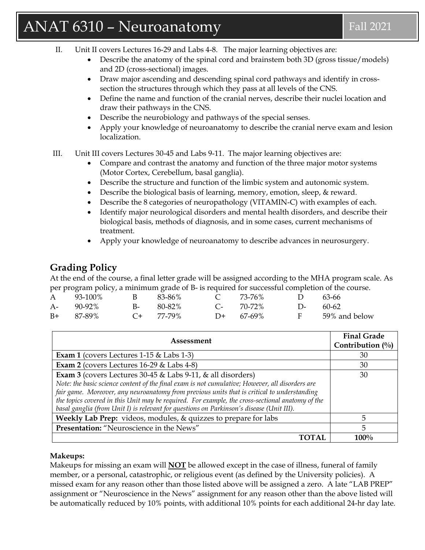# $\text{ANAT 6310 - Neuroanatory}$  Fall 2021

- II. Unit II covers Lectures 16-29 and Labs 4-8. The major learning objectives are:
	- Describe the anatomy of the spinal cord and brainstem both 3D (gross tissue/models) and 2D (cross-sectional) images.
	- Draw major ascending and descending spinal cord pathways and identify in crosssection the structures through which they pass at all levels of the CNS.
	- Define the name and function of the cranial nerves, describe their nuclei location and draw their pathways in the CNS.
	- Describe the neurobiology and pathways of the special senses.
	- Apply your knowledge of neuroanatomy to describe the cranial nerve exam and lesion localization.
- III. Unit III covers Lectures 30-45 and Labs 9-11. The major learning objectives are:
	- Compare and contrast the anatomy and function of the three major motor systems (Motor Cortex, Cerebellum, basal ganglia).
	- Describe the structure and function of the limbic system and autonomic system.
	- Describe the biological basis of learning, memory, emotion, sleep, & reward.
	- Describe the 8 categories of neuropathology (VITAMIN-C) with examples of each.
	- Identify major neurological disorders and mental health disorders, and describe their biological basis, methods of diagnosis, and in some cases, current mechanisms of treatment.
	- Apply your knowledge of neuroanatomy to describe advances in neurosurgery.

# **Grading Policy**

At the end of the course, a final letter grade will be assigned according to the MHA program scale. As per program policy, a minimum grade of B- is required for successful completion of the course.

|              |                  | $\Gamma$ . The state of $\Gamma$ is the state of $\Gamma$ is the state of $\Gamma$ is the state of $\Gamma$ |                 |
|--------------|------------------|-------------------------------------------------------------------------------------------------------------|-----------------|
|              |                  | A 93-100% B 83-86% C 73-76% D 63-66                                                                         |                 |
| A- 90-92%    | B- 80-82%        | $C-70-72\%$                                                                                                 | $D-60-62$       |
| $B+ 87-89\%$ | $C_{\pm}$ 77-79% | $D+ 67-69\%$                                                                                                | F 59% and below |

| Assessment                                                                                       | <b>Final Grade</b><br>Contribution $(\%)$ |
|--------------------------------------------------------------------------------------------------|-------------------------------------------|
| <b>Exam 1</b> (covers Lectures 1-15 $\&$ Labs 1-3)                                               | 30                                        |
| Exam 2 (covers Lectures $16-29$ & Labs $4-8$ )                                                   | 30                                        |
| Exam 3 (covers Lectures $30-45$ & Labs $9-11$ , & all disorders)                                 | 30                                        |
| Note: the basic science content of the final exam is not cumulative; However, all disorders are  |                                           |
| fair game. Moreover, any neuroanatomy from previous units that is critical to understanding      |                                           |
| the topics covered in this Unit may be required. For example, the cross-sectional anatomy of the |                                           |
| basal ganglia (from Unit I) is relevant for questions on Parkinson's disease (Unit III).         |                                           |
| Weekly Lab Prep: videos, modules, & quizzes to prepare for labs                                  |                                           |
| Presentation: "Neuroscience in the News"                                                         | 5                                         |
|                                                                                                  | $100\%$                                   |

#### **Makeups:**

Makeups for missing an exam will **NOT** be allowed except in the case of illness, funeral of family member, or a personal, catastrophic, or religious event (as defined by the University policies). A missed exam for any reason other than those listed above will be assigned a zero. A late "LAB PREP" assignment or "Neuroscience in the News" assignment for any reason other than the above listed will be automatically reduced by 10% points, with additional 10% points for each additional 24-hr day late.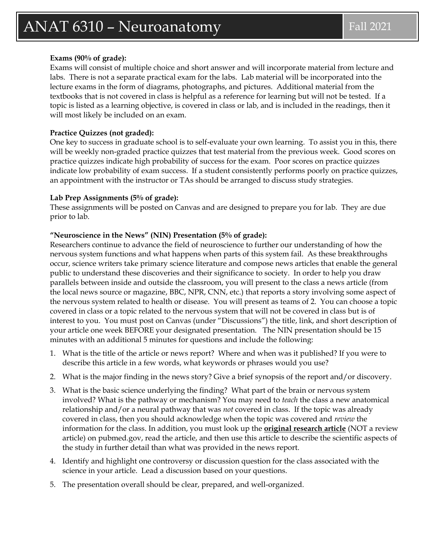#### **Exams (90% of grade):**

Exams will consist of multiple choice and short answer and will incorporate material from lecture and labs. There is not a separate practical exam for the labs. Lab material will be incorporated into the lecture exams in the form of diagrams, photographs, and pictures. Additional material from the textbooks that is not covered in class is helpful as a reference for learning but will not be tested. If a topic is listed as a learning objective, is covered in class or lab, and is included in the readings, then it will most likely be included on an exam.

#### **Practice Quizzes (not graded):**

One key to success in graduate school is to self-evaluate your own learning. To assist you in this, there will be weekly non-graded practice quizzes that test material from the previous week. Good scores on practice quizzes indicate high probability of success for the exam. Poor scores on practice quizzes indicate low probability of exam success. If a student consistently performs poorly on practice quizzes, an appointment with the instructor or TAs should be arranged to discuss study strategies.

#### **Lab Prep Assignments (5% of grade):**

These assignments will be posted on Canvas and are designed to prepare you for lab. They are due prior to lab.

#### **"Neuroscience in the News" (NIN) Presentation (5% of grade):**

Researchers continue to advance the field of neuroscience to further our understanding of how the nervous system functions and what happens when parts of this system fail. As these breakthroughs occur, science writers take primary science literature and compose news articles that enable the general public to understand these discoveries and their significance to society. In order to help you draw parallels between inside and outside the classroom, you will present to the class a news article (from the local news source or magazine, BBC, NPR, CNN, etc.) that reports a story involving some aspect of the nervous system related to health or disease. You will present as teams of 2. You can choose a topic covered in class or a topic related to the nervous system that will not be covered in class but is of interest to you. You must post on Canvas (under "Discussions") the title, link, and short description of your article one week BEFORE your designated presentation. The NIN presentation should be 15 minutes with an additional 5 minutes for questions and include the following:

- 1. What is the title of the article or news report? Where and when was it published? If you were to describe this article in a few words, what keywords or phrases would you use?
- 2. What is the major finding in the news story? Give a brief synopsis of the report and/or discovery.
- 3. What is the basic science underlying the finding? What part of the brain or nervous system involved? What is the pathway or mechanism? You may need to *teach* the class a new anatomical relationship and/or a neural pathway that was *not* covered in class. If the topic was already covered in class, then you should acknowledge when the topic was covered and *review* the information for the class. In addition, you must look up the **original research article** (NOT a review article) on pubmed.gov, read the article, and then use this article to describe the scientific aspects of the study in further detail than what was provided in the news report.
- 4. Identify and highlight one controversy or discussion question for the class associated with the science in your article. Lead a discussion based on your questions.
- 5. The presentation overall should be clear, prepared, and well-organized.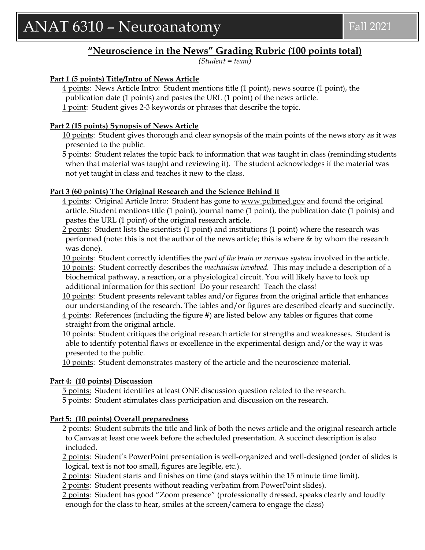## **"Neuroscience in the News" Grading Rubric (100 points total)**

*(Student = team)* 

#### **Part 1 (5 points) Title/Intro of News Article**

4 points: News Article Intro: Student mentions title (1 point), news source (1 point), the publication date (1 points) and pastes the URL (1 point) of the news article. 1 point: Student gives 2-3 keywords or phrases that describe the topic.

#### **Part 2 (15 points) Synopsis of News Article**

10 points: Student gives thorough and clear synopsis of the main points of the news story as it was presented to the public.

5 points: Student relates the topic back to information that was taught in class (reminding students when that material was taught and reviewing it). The student acknowledges if the material was not yet taught in class and teaches it new to the class.

#### **Part 3 (60 points) The Original Research and the Science Behind It**

4 points: Original Article Intro: Student has gone to [www.pubmed.gov](http://www.pubmed.gov/) and found the original article. Student mentions title (1 point), journal name (1 point), the publication date (1 points) and pastes the URL (1 point) of the original research article.

2 points: Student lists the scientists (1 point) and institutions (1 point) where the research was performed (note: this is not the author of the news article; this is where & by whom the research was done).

10 points: Student correctly identifies the *part of the brain or nervous system* involved in the article. 10 points: Student correctly describes the *mechanism involved.* This may include a description of a biochemical pathway, a reaction, or a physiological circuit. You will likely have to look up additional information for this section! Do your research! Teach the class!

10 points: Student presents relevant tables and/or figures from the original article that enhances our understanding of the research. The tables and/or figures are described clearly and succinctly. 4 points: References (including the figure #) are listed below any tables or figures that come straight from the original article.

10 points: Student critiques the original research article for strengths and weaknesses. Student is able to identify potential flaws or excellence in the experimental design and/or the way it was presented to the public.

10 points: Student demonstrates mastery of the article and the neuroscience material.

#### **Part 4: (10 points) Discussion**

5 points: Student identifies at least ONE discussion question related to the research. 5 points: Student stimulates class participation and discussion on the research.

#### **Part 5: (10 points) Overall preparedness**

2 points: Student submits the title and link of both the news article and the original research article to Canvas at least one week before the scheduled presentation. A succinct description is also included.

2 points: Student's PowerPoint presentation is well-organized and well-designed (order of slides is logical, text is not too small, figures are legible, etc.).

2 points: Student starts and finishes on time (and stays within the 15 minute time limit).

2 points: Student presents without reading verbatim from PowerPoint slides).

2 points: Student has good "Zoom presence" (professionally dressed, speaks clearly and loudly enough for the class to hear, smiles at the screen/camera to engage the class)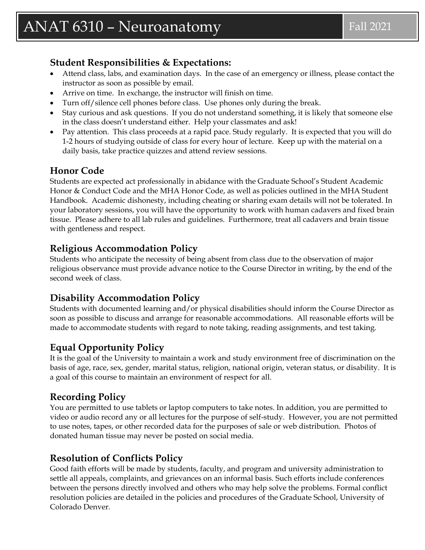# **Student Responsibilities & Expectations:**

- Attend class, labs, and examination days. In the case of an emergency or illness, please contact the instructor as soon as possible by email.
- Arrive on time. In exchange, the instructor will finish on time.
- Turn off/silence cell phones before class. Use phones only during the break.
- Stay curious and ask questions. If you do not understand something, it is likely that someone else in the class doesn't understand either. Help your classmates and ask!
- Pay attention. This class proceeds at a rapid pace. Study regularly. It is expected that you will do 1-2 hours of studying outside of class for every hour of lecture. Keep up with the material on a daily basis, take practice quizzes and attend review sessions.

# **Honor Code**

Students are expected act professionally in abidance with the Graduate School's Student Academic Honor & Conduct Code and the MHA Honor Code, as well as policies outlined in the MHA Student Handbook. Academic dishonesty, including cheating or sharing exam details will not be tolerated. In your laboratory sessions, you will have the opportunity to work with human cadavers and fixed brain tissue. Please adhere to all lab rules and guidelines. Furthermore, treat all cadavers and brain tissue with gentleness and respect.

# **Religious Accommodation Policy**

Students who anticipate the necessity of being absent from class due to the observation of major religious observance must provide advance notice to the Course Director in writing, by the end of the second week of class.

# **Disability Accommodation Policy**

Students with documented learning and/or physical disabilities should inform the Course Director as soon as possible to discuss and arrange for reasonable accommodations. All reasonable efforts will be made to accommodate students with regard to note taking, reading assignments, and test taking.

# **Equal Opportunity Policy**

It is the goal of the University to maintain a work and study environment free of discrimination on the basis of age, race, sex, gender, marital status, religion, national origin, veteran status, or disability. It is a goal of this course to maintain an environment of respect for all.

# **Recording Policy**

You are permitted to use tablets or laptop computers to take notes. In addition, you are permitted to video or audio record any or all lectures for the purpose of self-study. However, you are not permitted to use notes, tapes, or other recorded data for the purposes of sale or web distribution. Photos of donated human tissue may never be posted on social media.

# **Resolution of Conflicts Policy**

Good faith efforts will be made by students, faculty, and program and university administration to settle all appeals, complaints, and grievances on an informal basis. Such efforts include conferences between the persons directly involved and others who may help solve the problems. Formal conflict resolution policies are detailed in the policies and procedures of the Graduate School, University of Colorado Denver.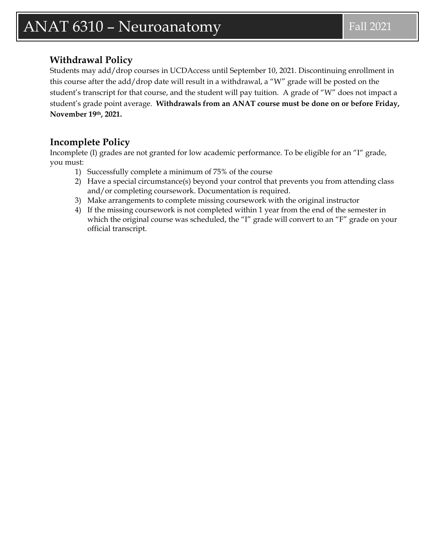# $\text{ANAT 6310 - Neuroanatory}$  Fall 2021

## **Withdrawal Policy**

Students may add/drop courses in UCDAccess until September 10, 2021. Discontinuing enrollment in this course after the add/drop date will result in a withdrawal, a "W" grade will be posted on the student's transcript for that course, and the student will pay tuition. A grade of "W" does not impact a student's grade point average. **Withdrawals from an ANAT course must be done on or before Friday, November 19th, 2021.**

# **Incomplete Policy**

Incomplete (I) grades are not granted for low academic performance. To be eligible for an "I" grade, you must:

- 1) Successfully complete a minimum of 75% of the course
- 2) Have a special circumstance(s) beyond your control that prevents you from attending class and/or completing coursework. Documentation is required.
- 3) Make arrangements to complete missing coursework with the original instructor
- 4) If the missing coursework is not completed within 1 year from the end of the semester in which the original course was scheduled, the "I" grade will convert to an "F" grade on your official transcript.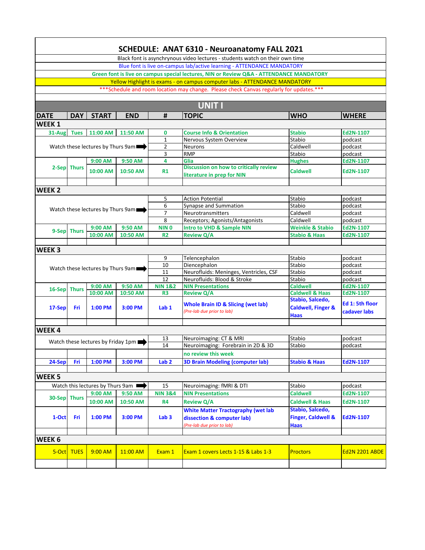| Black font is asynchrynous video lectures - students watch on their own time<br>Blue font is live on-campus lab/active learning - ATTENDANCE MANDATORY<br>Green font is live on campus special lectures, NIN or Review Q&A - ATTENDANCE MANDATORY<br>Yellow Highlight is exams - on campus computer labs - ATTENDANCE MANDATORY<br>*** Schedule and room location may change. Please check Canvas regularly for updates.***<br><b>UNIT I</b><br>#<br><b>TOPIC</b><br><b>WHO</b><br><b>WHERE</b><br><b>DATE</b><br><b>DAY</b><br><b>START</b><br><b>END</b><br>WEEK <sub>1</sub><br>11:00 AM<br>11:50 AM<br><b>Stabio</b><br><b>Tues</b><br>0<br><b>Course Info &amp; Orientation</b><br>Ed2N-1107<br>$31-Aug$<br>Stabio<br>podcast<br>1<br>Nervous System Overview<br>Watch these lectures by Thurs 9am<br>$\overline{2}$<br>Caldwell<br>podcast<br>Neurons<br>3<br><b>RMP</b><br>Stabio<br>podcast<br>9:00 AM<br>9:50 AM<br>Ed2N-1107<br>4<br>Glia<br><b>Hughes</b><br>Discussion on how to critically review<br>2-Sep Thurs<br><b>Caldwell</b><br>10:00 AM<br>10:50 AM<br>Ed2N-1107<br><b>R1</b><br>literature in prep for NIN<br>WEEK <sub>2</sub> |                                              |  |  |  |  |  |  |  |  |  |  |
|-------------------------------------------------------------------------------------------------------------------------------------------------------------------------------------------------------------------------------------------------------------------------------------------------------------------------------------------------------------------------------------------------------------------------------------------------------------------------------------------------------------------------------------------------------------------------------------------------------------------------------------------------------------------------------------------------------------------------------------------------------------------------------------------------------------------------------------------------------------------------------------------------------------------------------------------------------------------------------------------------------------------------------------------------------------------------------------------------------------------------------------------------------|----------------------------------------------|--|--|--|--|--|--|--|--|--|--|
|                                                                                                                                                                                                                                                                                                                                                                                                                                                                                                                                                                                                                                                                                                                                                                                                                                                                                                                                                                                                                                                                                                                                                       | SCHEDULE: ANAT 6310 - Neuroanatomy FALL 2021 |  |  |  |  |  |  |  |  |  |  |
|                                                                                                                                                                                                                                                                                                                                                                                                                                                                                                                                                                                                                                                                                                                                                                                                                                                                                                                                                                                                                                                                                                                                                       |                                              |  |  |  |  |  |  |  |  |  |  |
|                                                                                                                                                                                                                                                                                                                                                                                                                                                                                                                                                                                                                                                                                                                                                                                                                                                                                                                                                                                                                                                                                                                                                       |                                              |  |  |  |  |  |  |  |  |  |  |
|                                                                                                                                                                                                                                                                                                                                                                                                                                                                                                                                                                                                                                                                                                                                                                                                                                                                                                                                                                                                                                                                                                                                                       |                                              |  |  |  |  |  |  |  |  |  |  |
|                                                                                                                                                                                                                                                                                                                                                                                                                                                                                                                                                                                                                                                                                                                                                                                                                                                                                                                                                                                                                                                                                                                                                       |                                              |  |  |  |  |  |  |  |  |  |  |
|                                                                                                                                                                                                                                                                                                                                                                                                                                                                                                                                                                                                                                                                                                                                                                                                                                                                                                                                                                                                                                                                                                                                                       |                                              |  |  |  |  |  |  |  |  |  |  |
|                                                                                                                                                                                                                                                                                                                                                                                                                                                                                                                                                                                                                                                                                                                                                                                                                                                                                                                                                                                                                                                                                                                                                       |                                              |  |  |  |  |  |  |  |  |  |  |
|                                                                                                                                                                                                                                                                                                                                                                                                                                                                                                                                                                                                                                                                                                                                                                                                                                                                                                                                                                                                                                                                                                                                                       |                                              |  |  |  |  |  |  |  |  |  |  |
|                                                                                                                                                                                                                                                                                                                                                                                                                                                                                                                                                                                                                                                                                                                                                                                                                                                                                                                                                                                                                                                                                                                                                       |                                              |  |  |  |  |  |  |  |  |  |  |
|                                                                                                                                                                                                                                                                                                                                                                                                                                                                                                                                                                                                                                                                                                                                                                                                                                                                                                                                                                                                                                                                                                                                                       |                                              |  |  |  |  |  |  |  |  |  |  |
|                                                                                                                                                                                                                                                                                                                                                                                                                                                                                                                                                                                                                                                                                                                                                                                                                                                                                                                                                                                                                                                                                                                                                       |                                              |  |  |  |  |  |  |  |  |  |  |
|                                                                                                                                                                                                                                                                                                                                                                                                                                                                                                                                                                                                                                                                                                                                                                                                                                                                                                                                                                                                                                                                                                                                                       |                                              |  |  |  |  |  |  |  |  |  |  |
|                                                                                                                                                                                                                                                                                                                                                                                                                                                                                                                                                                                                                                                                                                                                                                                                                                                                                                                                                                                                                                                                                                                                                       |                                              |  |  |  |  |  |  |  |  |  |  |
|                                                                                                                                                                                                                                                                                                                                                                                                                                                                                                                                                                                                                                                                                                                                                                                                                                                                                                                                                                                                                                                                                                                                                       |                                              |  |  |  |  |  |  |  |  |  |  |
|                                                                                                                                                                                                                                                                                                                                                                                                                                                                                                                                                                                                                                                                                                                                                                                                                                                                                                                                                                                                                                                                                                                                                       |                                              |  |  |  |  |  |  |  |  |  |  |
|                                                                                                                                                                                                                                                                                                                                                                                                                                                                                                                                                                                                                                                                                                                                                                                                                                                                                                                                                                                                                                                                                                                                                       |                                              |  |  |  |  |  |  |  |  |  |  |
|                                                                                                                                                                                                                                                                                                                                                                                                                                                                                                                                                                                                                                                                                                                                                                                                                                                                                                                                                                                                                                                                                                                                                       |                                              |  |  |  |  |  |  |  |  |  |  |
| 5<br>Stabio<br><b>Action Potential</b><br>podcast                                                                                                                                                                                                                                                                                                                                                                                                                                                                                                                                                                                                                                                                                                                                                                                                                                                                                                                                                                                                                                                                                                     |                                              |  |  |  |  |  |  |  |  |  |  |
| 6<br>Synapse and Summation<br>Stabio<br>podcast<br>Watch these lectures by Thurs 9am                                                                                                                                                                                                                                                                                                                                                                                                                                                                                                                                                                                                                                                                                                                                                                                                                                                                                                                                                                                                                                                                  |                                              |  |  |  |  |  |  |  |  |  |  |
| $\overline{7}$<br>Caldwell<br>Neurotransmitters<br>podcast                                                                                                                                                                                                                                                                                                                                                                                                                                                                                                                                                                                                                                                                                                                                                                                                                                                                                                                                                                                                                                                                                            |                                              |  |  |  |  |  |  |  |  |  |  |
| 8<br>Caldwell<br>Receptors; Agonists/Antagonists<br>podcast                                                                                                                                                                                                                                                                                                                                                                                                                                                                                                                                                                                                                                                                                                                                                                                                                                                                                                                                                                                                                                                                                           |                                              |  |  |  |  |  |  |  |  |  |  |
| 9:00 AM<br>9:50 AM<br>NIN <sub>0</sub><br><b>Intro to VHD &amp; Sample NIN</b><br><b>Weinkle &amp; Stabio</b><br>Ed2N-1107<br>9-Sep Thurs                                                                                                                                                                                                                                                                                                                                                                                                                                                                                                                                                                                                                                                                                                                                                                                                                                                                                                                                                                                                             |                                              |  |  |  |  |  |  |  |  |  |  |
| <b>Review Q/A</b><br>10:00 AM<br>10:50 AM<br><b>R2</b><br><b>Stabio &amp; Haas</b><br>Ed2N-1107                                                                                                                                                                                                                                                                                                                                                                                                                                                                                                                                                                                                                                                                                                                                                                                                                                                                                                                                                                                                                                                       |                                              |  |  |  |  |  |  |  |  |  |  |
| WEEK <sub>3</sub>                                                                                                                                                                                                                                                                                                                                                                                                                                                                                                                                                                                                                                                                                                                                                                                                                                                                                                                                                                                                                                                                                                                                     |                                              |  |  |  |  |  |  |  |  |  |  |
| 9<br>Telencephalon<br>Stabio<br>podcast                                                                                                                                                                                                                                                                                                                                                                                                                                                                                                                                                                                                                                                                                                                                                                                                                                                                                                                                                                                                                                                                                                               |                                              |  |  |  |  |  |  |  |  |  |  |
| Diencephalon<br>Stabio<br>10<br>podcast<br>Watch these lectures by Thurs 9am                                                                                                                                                                                                                                                                                                                                                                                                                                                                                                                                                                                                                                                                                                                                                                                                                                                                                                                                                                                                                                                                          |                                              |  |  |  |  |  |  |  |  |  |  |
| $11\,$<br>Neurofluids: Meninges, Ventricles, CSF<br>Stabio<br>podcast                                                                                                                                                                                                                                                                                                                                                                                                                                                                                                                                                                                                                                                                                                                                                                                                                                                                                                                                                                                                                                                                                 |                                              |  |  |  |  |  |  |  |  |  |  |
| $\overline{12}$<br>Neurofluids: Blood & Stroke<br>Stabio<br>podcast                                                                                                                                                                                                                                                                                                                                                                                                                                                                                                                                                                                                                                                                                                                                                                                                                                                                                                                                                                                                                                                                                   |                                              |  |  |  |  |  |  |  |  |  |  |
| 9:50 AM<br><b>NIN Presentations</b><br><b>Caldwell</b><br>9:00 AM<br><b>NIN 1&amp;2</b><br>Ed2N-1107<br>16-Sep<br><b>Thurs</b>                                                                                                                                                                                                                                                                                                                                                                                                                                                                                                                                                                                                                                                                                                                                                                                                                                                                                                                                                                                                                        |                                              |  |  |  |  |  |  |  |  |  |  |
| 10:00 AM<br><b>Review Q/A</b><br><b>Caldwell &amp; Haas</b><br>Ed2N-1107<br>10:50 AM<br>R <sub>3</sub><br>Stabio, Salcedo,<br>Ed 1: 5th floor<br><b>Whole Brain ID &amp; Slicing (wet lab)</b><br><b>Caldwell, Finger &amp;</b><br>17-Sep<br>Fri<br>$1:00$ PM<br>3:00 PM<br>Lab 1<br>(Pre-lab due prior to lab)<br>cadaver labs<br><b>Haas</b>                                                                                                                                                                                                                                                                                                                                                                                                                                                                                                                                                                                                                                                                                                                                                                                                        |                                              |  |  |  |  |  |  |  |  |  |  |
|                                                                                                                                                                                                                                                                                                                                                                                                                                                                                                                                                                                                                                                                                                                                                                                                                                                                                                                                                                                                                                                                                                                                                       |                                              |  |  |  |  |  |  |  |  |  |  |
| WEEK4                                                                                                                                                                                                                                                                                                                                                                                                                                                                                                                                                                                                                                                                                                                                                                                                                                                                                                                                                                                                                                                                                                                                                 |                                              |  |  |  |  |  |  |  |  |  |  |
| 13<br>Neuroimaging: CT & MRI<br>Stabio<br>podcast<br>Watch these lectures by Friday 1pm                                                                                                                                                                                                                                                                                                                                                                                                                                                                                                                                                                                                                                                                                                                                                                                                                                                                                                                                                                                                                                                               |                                              |  |  |  |  |  |  |  |  |  |  |
| 14<br>Stabio<br>Neuroimaging: Forebrain in 2D & 3D<br>podcast                                                                                                                                                                                                                                                                                                                                                                                                                                                                                                                                                                                                                                                                                                                                                                                                                                                                                                                                                                                                                                                                                         |                                              |  |  |  |  |  |  |  |  |  |  |
| no review this week                                                                                                                                                                                                                                                                                                                                                                                                                                                                                                                                                                                                                                                                                                                                                                                                                                                                                                                                                                                                                                                                                                                                   |                                              |  |  |  |  |  |  |  |  |  |  |
| 1:00 PM<br><b>3D Brain Modeling (computer lab)</b><br>24-Sep<br>Fri<br>3:00 PM<br>Lab <sub>2</sub><br><b>Stabio &amp; Haas</b><br>Ed2N-1107                                                                                                                                                                                                                                                                                                                                                                                                                                                                                                                                                                                                                                                                                                                                                                                                                                                                                                                                                                                                           |                                              |  |  |  |  |  |  |  |  |  |  |
|                                                                                                                                                                                                                                                                                                                                                                                                                                                                                                                                                                                                                                                                                                                                                                                                                                                                                                                                                                                                                                                                                                                                                       |                                              |  |  |  |  |  |  |  |  |  |  |
| WEEK <sub>5</sub>                                                                                                                                                                                                                                                                                                                                                                                                                                                                                                                                                                                                                                                                                                                                                                                                                                                                                                                                                                                                                                                                                                                                     |                                              |  |  |  |  |  |  |  |  |  |  |
| Watch this lectures by Thurs 9am I<br>15<br>Neuroimaging: fMRI & DTI<br>Stabio<br>podcast                                                                                                                                                                                                                                                                                                                                                                                                                                                                                                                                                                                                                                                                                                                                                                                                                                                                                                                                                                                                                                                             |                                              |  |  |  |  |  |  |  |  |  |  |
| <b>NIN Presentations</b><br>9:00 AM<br><b>NIN 3&amp;4</b><br><b>Caldwell</b><br>Ed2N-1107<br>9:50 AM                                                                                                                                                                                                                                                                                                                                                                                                                                                                                                                                                                                                                                                                                                                                                                                                                                                                                                                                                                                                                                                  |                                              |  |  |  |  |  |  |  |  |  |  |
| <b>Thurs</b><br>30-Sep<br><b>Review Q/A</b><br><b>Caldwell &amp; Haas</b><br>10:00 AM<br>10:50 AM<br>R4<br>Ed2N-1107                                                                                                                                                                                                                                                                                                                                                                                                                                                                                                                                                                                                                                                                                                                                                                                                                                                                                                                                                                                                                                  |                                              |  |  |  |  |  |  |  |  |  |  |
| Stabio, Salcedo,<br><b>White Matter Tractography (wet lab</b><br><b>Finger, Caldwell &amp;</b><br>1-Oct<br>Fri<br>$1:00$ PM<br>3:00 PM<br>Lab <sub>3</sub><br>Ed2N-1107<br>dissection & computer lab)<br>(Pre-lab due prior to lab)<br><b>Haas</b>                                                                                                                                                                                                                                                                                                                                                                                                                                                                                                                                                                                                                                                                                                                                                                                                                                                                                                    |                                              |  |  |  |  |  |  |  |  |  |  |
|                                                                                                                                                                                                                                                                                                                                                                                                                                                                                                                                                                                                                                                                                                                                                                                                                                                                                                                                                                                                                                                                                                                                                       |                                              |  |  |  |  |  |  |  |  |  |  |
| WEEK <sub>6</sub>                                                                                                                                                                                                                                                                                                                                                                                                                                                                                                                                                                                                                                                                                                                                                                                                                                                                                                                                                                                                                                                                                                                                     |                                              |  |  |  |  |  |  |  |  |  |  |
| 5-Oct TUES<br>Exam 1<br>Exam 1 covers Lects 1-15 & Labs 1-3<br>$9:00$ AM<br>11:00 AM<br><b>Proctors</b><br><b>Ed2N 2201 ABDE</b>                                                                                                                                                                                                                                                                                                                                                                                                                                                                                                                                                                                                                                                                                                                                                                                                                                                                                                                                                                                                                      |                                              |  |  |  |  |  |  |  |  |  |  |
|                                                                                                                                                                                                                                                                                                                                                                                                                                                                                                                                                                                                                                                                                                                                                                                                                                                                                                                                                                                                                                                                                                                                                       |                                              |  |  |  |  |  |  |  |  |  |  |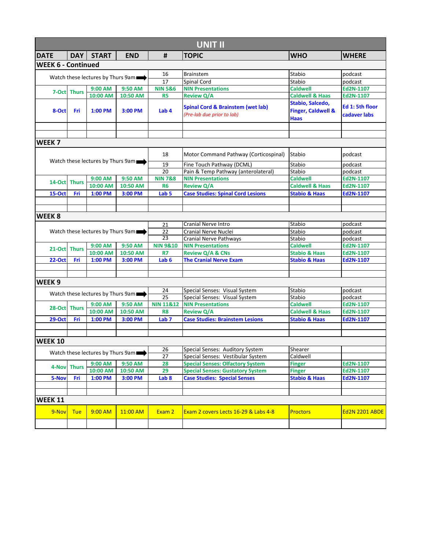| <b>UNIT II</b>                    |                                                         |                                   |                                   |                                                           |                                              |                               |                       |  |  |
|-----------------------------------|---------------------------------------------------------|-----------------------------------|-----------------------------------|-----------------------------------------------------------|----------------------------------------------|-------------------------------|-----------------------|--|--|
| <b>DATE</b>                       | <b>DAY</b>                                              | <b>START</b>                      | <b>END</b>                        | #                                                         | <b>TOPIC</b>                                 | <b>WHO</b>                    | <b>WHERE</b>          |  |  |
| <b>WEEK 6 - Continued</b>         |                                                         |                                   |                                   |                                                           |                                              |                               |                       |  |  |
| Watch these lectures by Thurs 9am |                                                         | 16                                | <b>Brainstem</b>                  | Stabio                                                    | podcast                                      |                               |                       |  |  |
|                                   |                                                         |                                   |                                   | 17                                                        | Spinal Cord                                  | Stabio                        | podcast               |  |  |
|                                   |                                                         | 9:00 AM                           | 9:50 AM                           | <b>NIN 5&amp;6</b>                                        | <b>NIN Presentations</b>                     | <b>Caldwell</b>               | Ed2N-1107             |  |  |
|                                   | 7-Oct Thurs                                             | 10:00 AM                          | 10:50 AM                          | R <sub>5</sub>                                            | <b>Review Q/A</b>                            | <b>Caldwell &amp; Haas</b>    | Ed2N-1107             |  |  |
|                                   |                                                         |                                   |                                   |                                                           |                                              | Stabio, Salcedo,              |                       |  |  |
| 8-Oct                             | Fri                                                     | $1:00$ PM                         | 3:00 PM                           | Lab <sub>4</sub>                                          | <b>Spinal Cord &amp; Brainstem (wet lab)</b> | <b>Finger, Caldwell &amp;</b> | Ed 1: 5th floor       |  |  |
|                                   |                                                         |                                   |                                   |                                                           | (Pre-lab due prior to lab)                   | Haas                          | cadaver labs          |  |  |
|                                   |                                                         |                                   |                                   |                                                           |                                              |                               |                       |  |  |
|                                   |                                                         |                                   |                                   |                                                           |                                              |                               |                       |  |  |
| WEEK <sub>7</sub>                 |                                                         |                                   |                                   |                                                           |                                              |                               |                       |  |  |
|                                   |                                                         |                                   |                                   | 18                                                        | Motor Command Pathway (Corticospinal)        | Stabio                        | podcast               |  |  |
|                                   |                                                         | Watch these lectures by Thurs 9am |                                   | 19                                                        | Fine Touch Pathway (DCML)                    | Stabio                        | podcast               |  |  |
|                                   |                                                         |                                   |                                   | 20                                                        | Pain & Temp Pathway (anterolateral)          | Stabio                        | podcast               |  |  |
|                                   | 14-Oct Thurs                                            | 9:00 AM                           | 9:50 AM                           | <b>NIN 7&amp;8</b>                                        | <b>NIN Presentations</b>                     | <b>Caldwell</b>               | Ed2N-1107             |  |  |
|                                   |                                                         | 10:00 AM                          | 10:50 AM                          | <b>R6</b>                                                 | <b>Review Q/A</b>                            | <b>Caldwell &amp; Haas</b>    | Ed2N-1107             |  |  |
| <b>15-Oct</b>                     | Fri                                                     | 1:00 PM                           | 3:00 PM                           | Lab <sub>5</sub>                                          | <b>Case Studies: Spinal Cord Lesions</b>     | <b>Stabio &amp; Haas</b>      | Ed2N-1107             |  |  |
|                                   |                                                         |                                   |                                   |                                                           |                                              |                               |                       |  |  |
|                                   |                                                         |                                   |                                   |                                                           |                                              |                               |                       |  |  |
| <b>WEEK 8</b>                     |                                                         |                                   |                                   |                                                           |                                              |                               |                       |  |  |
|                                   |                                                         |                                   |                                   | 21                                                        | <b>Cranial Nerve Intro</b>                   | Stabio                        | podcast               |  |  |
|                                   | Watch these lectures by Thurs 9am                       |                                   |                                   | 22                                                        | Cranial Nerve Nuclei                         | Stabio                        | podcast               |  |  |
|                                   |                                                         |                                   |                                   | $\overline{23}$                                           | <b>Cranial Nerve Pathways</b>                | Stabio                        | podcast               |  |  |
|                                   | 21-Oct Thurs                                            | 9:00 AM                           | 9:50 AM                           | <b>NIN 9&amp;10</b>                                       | <b>NIN Presentations</b>                     | <b>Caldwell</b>               | Ed2N-1107             |  |  |
|                                   |                                                         | 10:00 AM                          | 10:50 AM                          | <b>R7</b>                                                 | <b>Review Q/A &amp; CNs</b>                  | <b>Stabio &amp; Haas</b>      | Ed2N-1107             |  |  |
| <b>22-Oct</b>                     | Fri                                                     | 1:00 PM                           | 3:00 PM                           | Lab <sub>6</sub>                                          | <b>The Cranial Nerve Exam</b>                | <b>Stabio &amp; Haas</b>      | Ed2N-1107             |  |  |
|                                   |                                                         |                                   |                                   |                                                           |                                              |                               |                       |  |  |
| WEEK <sub>9</sub>                 |                                                         |                                   |                                   |                                                           |                                              |                               |                       |  |  |
|                                   |                                                         |                                   |                                   |                                                           |                                              |                               |                       |  |  |
|                                   | Watch these lectures by Thurs 9am<br>9:50 AM<br>9:00 AM |                                   | 24<br>$\overline{25}$             | Special Senses: Visual System                             | Stabio<br>Stabio                             | podcast                       |                       |  |  |
|                                   |                                                         |                                   | <b>NIN 11&amp;12</b>              | Special Senses: Visual System<br><b>NIN Presentations</b> | <b>Caldwell</b>                              | podcast<br>Ed2N-1107          |                       |  |  |
|                                   | 28-Oct Thurs                                            | 10:00 AM                          | 10:50 AM                          | R <sub>8</sub>                                            | <b>Review Q/A</b>                            | <b>Caldwell &amp; Haas</b>    | Ed2N-1107             |  |  |
| <b>29-Oct</b>                     | Fri                                                     | 1:00 PM                           | 3:00 PM                           | Lab <sub>7</sub>                                          | <b>Case Studies: Brainstem Lesions</b>       | <b>Stabio &amp; Haas</b>      | Ed2N-1107             |  |  |
|                                   |                                                         |                                   |                                   |                                                           |                                              |                               |                       |  |  |
|                                   |                                                         |                                   |                                   |                                                           |                                              |                               |                       |  |  |
| <b>WEEK 10</b>                    |                                                         |                                   |                                   |                                                           |                                              |                               |                       |  |  |
|                                   |                                                         |                                   |                                   | 26                                                        | Special Senses: Auditory System              | Shearer                       |                       |  |  |
|                                   |                                                         |                                   | Watch these lectures by Thurs 9am | 27                                                        | Special Senses: Vestibular System            | Caldwell                      |                       |  |  |
|                                   |                                                         | 9:00 AM                           | 9:50 AM                           | 28                                                        | <b>Special Senses: Olfactory System</b>      | <b>Finger</b>                 | Ed2N-1107             |  |  |
| 4-Nov                             | <b>Thurs</b>                                            | 10:00 AM                          | 10:50 AM                          | 29                                                        | <b>Special Senses: Gustatory System</b>      | <b>Finger</b>                 | Ed2N-1107             |  |  |
| 5-Nov                             | Fri                                                     | 1:00 PM                           | 3:00 PM                           | Lab <sub>8</sub>                                          | <b>Case Studies: Special Senses</b>          | <b>Stabio &amp; Haas</b>      | Ed2N-1107             |  |  |
|                                   |                                                         |                                   |                                   |                                                           |                                              |                               |                       |  |  |
|                                   |                                                         |                                   |                                   |                                                           |                                              |                               |                       |  |  |
| <b>WEEK 11</b>                    |                                                         |                                   |                                   |                                                           |                                              |                               |                       |  |  |
| 9-Nov                             | <b>Tue</b>                                              | 9:00 AM                           | 11:00 AM                          | Exam 2                                                    | Exam 2 covers Lects 16-29 & Labs 4-8         | <b>Proctors</b>               | <b>Ed2N 2201 ABDE</b> |  |  |
|                                   |                                                         |                                   |                                   |                                                           |                                              |                               |                       |  |  |
|                                   |                                                         |                                   |                                   |                                                           |                                              |                               |                       |  |  |